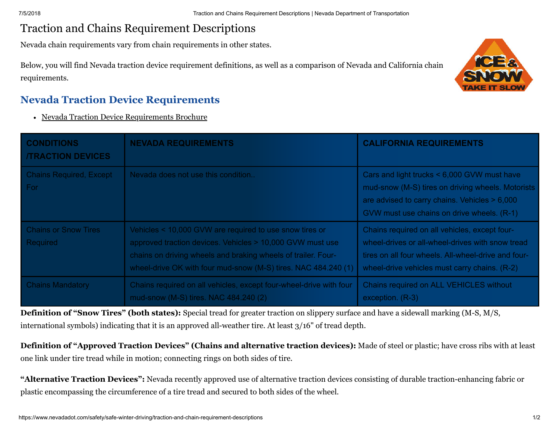## Traction and Chains Requirement Descriptions

Nevada chain requirements vary from chain requirements in other states.

Below, you will find Nevada traction device requirement definitions, as well as a comparison of Nevada and California chain requirements.



## **Nevada Traction Device Requirements**

• Nevada Traction Device [Requirements](https://www.nevadadot.com/home/showdocument?id=96) Brochure

| <b>CONDITIONS</b><br><b>/TRACTION DEVICES</b> | <b>NEVADA REQUIREMENTS</b>                                                                                                                                                                                                                              | <b>CALIFORNIA REQUIREMENTS</b>                                                                                                                                                                            |
|-----------------------------------------------|---------------------------------------------------------------------------------------------------------------------------------------------------------------------------------------------------------------------------------------------------------|-----------------------------------------------------------------------------------------------------------------------------------------------------------------------------------------------------------|
| <b>Chains Required, Except</b><br>For         | Nevada does not use this condition                                                                                                                                                                                                                      | Cars and light trucks < 6,000 GVW must have<br>mud-snow (M-S) tires on driving wheels. Motorists<br>are advised to carry chains. Vehicles > 6,000<br>GVW must use chains on drive wheels. (R-1)           |
| <b>Chains or Snow Tires</b><br>Required       | Vehicles < 10,000 GVW are required to use snow tires or<br>approved traction devices. Vehicles > 10,000 GVW must use<br>chains on driving wheels and braking wheels of trailer. Four-<br>wheel-drive OK with four mud-snow (M-S) tires. NAC 484.240 (1) | Chains required on all vehicles, except four-<br>wheel-drives or all-wheel-drives with snow tread<br>tires on all four wheels. All-wheel-drive and four-<br>wheel-drive vehicles must carry chains. (R-2) |
| <b>Chains Mandatory</b>                       | Chains required on all vehicles, except four-wheel-drive with four<br>mud-snow (M-S) tires. NAC 484.240 (2)                                                                                                                                             | Chains required on ALL VEHICLES without<br>exception. (R-3)                                                                                                                                               |

**Definition of "Snow Tires" (both states):** Special tread for greater traction on slippery surface and have a sidewall marking (M-S, M/S, international symbols) indicating that it is an approved all-weather tire. At least 3/16" of tread depth.

**Definition of "Approved Traction Devices" (Chains and alternative traction devices):** Made of steel or plastic; have cross ribs with at least one link under tire tread while in motion; connecting rings on both sides of tire.

**"Alternative Traction Devices":** Nevada recently approved use of alternative traction devices consisting of durable traction-enhancing fabric or plastic encompassing the circumference of a tire tread and secured to both sides of the wheel.